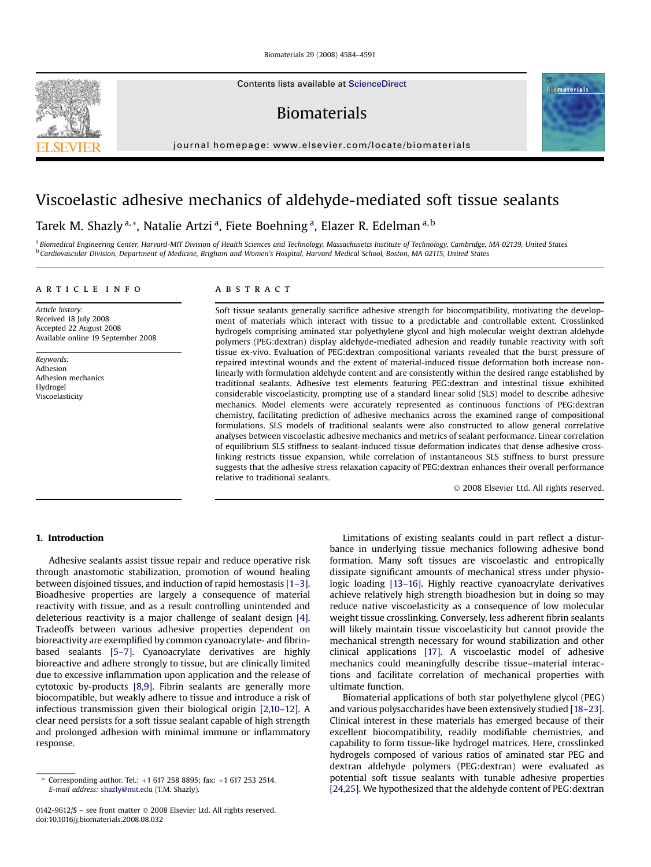Contents lists available at [ScienceDirect](www.sciencedirect.com/science/journal/01429612)

Biomaterials



# Viscoelastic adhesive mechanics of aldehyde-mediated soft tissue sealants

## Tarek M. Shazly<sup>a,</sup>\*, Natalie Artzi<sup>a</sup>, Fiete Boehning<sup>a</sup>, Elazer R. Edelman<sup>a, b</sup>

a Biomedical Engineering Center, Harvard-MIT Division of Health Sciences and Technology, Massachusetts Institute of Technology, Cambridge, MA 02139, United States <sup>b</sup> Cardiovascular Division, Department of Medicine, Brigham and Women's Hospital, Harvard Medical School, Boston, MA 02115, United States

## article info

Article history: Received 18 July 2008 Accepted 22 August 2008 Available online 19 September 2008

Keywords: Adhesion Adhesion mechanics Hydrogel Viscoelasticity

## ABSTRACT

Soft tissue sealants generally sacrifice adhesive strength for biocompatibility, motivating the development of materials which interact with tissue to a predictable and controllable extent. Crosslinked hydrogels comprising aminated star polyethylene glycol and high molecular weight dextran aldehyde polymers (PEG:dextran) display aldehyde-mediated adhesion and readily tunable reactivity with soft tissue ex-vivo. Evaluation of PEG:dextran compositional variants revealed that the burst pressure of repaired intestinal wounds and the extent of material-induced tissue deformation both increase nonlinearly with formulation aldehyde content and are consistently within the desired range established by traditional sealants. Adhesive test elements featuring PEG:dextran and intestinal tissue exhibited considerable viscoelasticity, prompting use of a standard linear solid (SLS) model to describe adhesive mechanics. Model elements were accurately represented as continuous functions of PEG:dextran chemistry, facilitating prediction of adhesive mechanics across the examined range of compositional formulations. SLS models of traditional sealants were also constructed to allow general correlative analyses between viscoelastic adhesive mechanics and metrics of sealant performance. Linear correlation of equilibrium SLS stiffness to sealant-induced tissue deformation indicates that dense adhesive crosslinking restricts tissue expansion, while correlation of instantaneous SLS stiffness to burst pressure suggests that the adhesive stress relaxation capacity of PEG:dextran enhances their overall performance relative to traditional sealants.

- 2008 Elsevier Ltd. All rights reserved.

## 1. Introduction

Adhesive sealants assist tissue repair and reduce operative risk through anastomotic stabilization, promotion of wound healing between disjoined tissues, and induction of rapid hemostasis [\[1–3\].](#page-7-0) Bioadhesive properties are largely a consequence of material reactivity with tissue, and as a result controlling unintended and deleterious reactivity is a major challenge of sealant design [\[4\].](#page-7-0) Tradeoffs between various adhesive properties dependent on bioreactivity are exemplified by common cyanoacrylate- and fibrinbased sealants [\[5–7\].](#page-7-0) Cyanoacrylate derivatives are highly bioreactive and adhere strongly to tissue, but are clinically limited due to excessive inflammation upon application and the release of cytotoxic by-products [\[8,9\]](#page-7-0). Fibrin sealants are generally more biocompatible, but weakly adhere to tissue and introduce a risk of infectious transmission given their biological origin [\[2,10–12\].](#page-7-0) A clear need persists for a soft tissue sealant capable of high strength and prolonged adhesion with minimal immune or inflammatory response.

Limitations of existing sealants could in part reflect a disturbance in underlying tissue mechanics following adhesive bond formation. Many soft tissues are viscoelastic and entropically dissipate significant amounts of mechanical stress under physiologic loading [\[13–16\]](#page-7-0). Highly reactive cyanoacrylate derivatives achieve relatively high strength bioadhesion but in doing so may reduce native viscoelasticity as a consequence of low molecular weight tissue crosslinking. Conversely, less adherent fibrin sealants will likely maintain tissue viscoelasticity but cannot provide the mechanical strength necessary for wound stabilization and other clinical applications [\[17\].](#page-7-0) A viscoelastic model of adhesive mechanics could meaningfully describe tissue–material interactions and facilitate correlation of mechanical properties with ultimate function.

Biomaterial applications of both star polyethylene glycol (PEG) and various polysaccharides have been extensively studied [\[18–23\].](#page-7-0) Clinical interest in these materials has emerged because of their excellent biocompatibility, readily modifiable chemistries, and capability to form tissue-like hydrogel matrices. Here, crosslinked hydrogels composed of various ratios of aminated star PEG and dextran aldehyde polymers (PEG:dextran) were evaluated as potential soft tissue sealants with tunable adhesive properties [\[24,25\]](#page-7-0). We hypothesized that the aldehyde content of PEG:dextran





<sup>\*</sup> Corresponding author. Tel.:  $+1$  617 258 8895; fax:  $+1$  617 253 2514. E-mail address: [shazly@mit.edu](mailto:shazly@mit.edu) (T.M. Shazly).

<sup>0142-9612/\$ –</sup> see front matter © 2008 Elsevier Ltd. All rights reserved. doi:10.1016/j.biomaterials.2008.08.032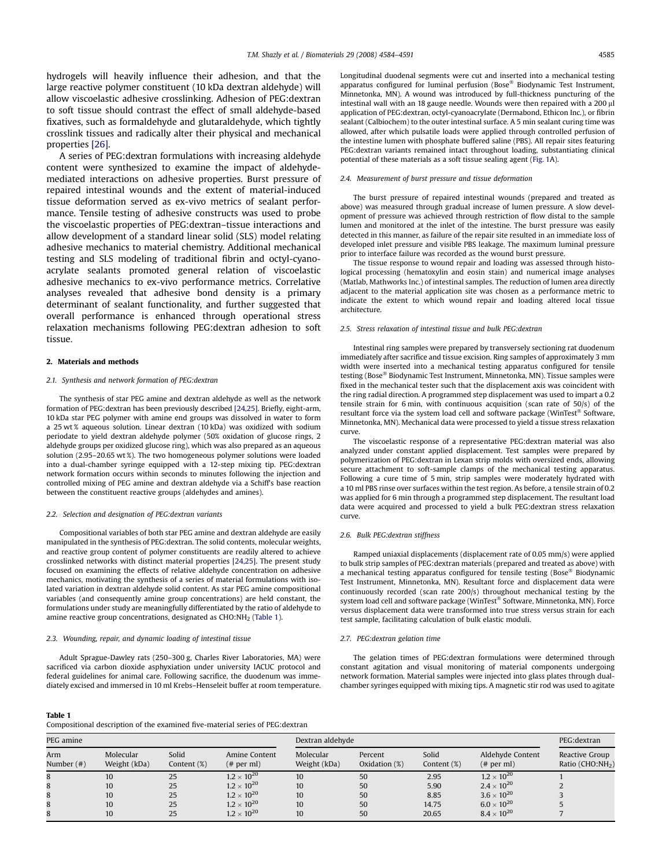<span id="page-1-0"></span>hydrogels will heavily influence their adhesion, and that the large reactive polymer constituent (10 kDa dextran aldehyde) will allow viscoelastic adhesive crosslinking. Adhesion of PEG:dextran to soft tissue should contrast the effect of small aldehyde-based fixatives, such as formaldehyde and glutaraldehyde, which tightly crosslink tissues and radically alter their physical and mechanical properties [\[26\].](#page-7-0)

A series of PEG:dextran formulations with increasing aldehyde content were synthesized to examine the impact of aldehydemediated interactions on adhesive properties. Burst pressure of repaired intestinal wounds and the extent of material-induced tissue deformation served as ex-vivo metrics of sealant performance. Tensile testing of adhesive constructs was used to probe the viscoelastic properties of PEG:dextran–tissue interactions and allow development of a standard linear solid (SLS) model relating adhesive mechanics to material chemistry. Additional mechanical testing and SLS modeling of traditional fibrin and octyl-cyanoacrylate sealants promoted general relation of viscoelastic adhesive mechanics to ex-vivo performance metrics. Correlative analyses revealed that adhesive bond density is a primary determinant of sealant functionality, and further suggested that overall performance is enhanced through operational stress relaxation mechanisms following PEG:dextran adhesion to soft tissue.

## 2. Materials and methods

#### 2.1. Synthesis and network formation of PEG:dextran

The synthesis of star PEG amine and dextran aldehyde as well as the network formation of PEG:dextran has been previously described [\[24,25\].](#page-7-0) Briefly, eight-arm, 10 kDa star PEG polymer with amine end groups was dissolved in water to form a 25 wt % aqueous solution. Linear dextran (10 kDa) was oxidized with sodium periodate to yield dextran aldehyde polymer (50% oxidation of glucose rings, 2 aldehyde groups per oxidized glucose ring), which was also prepared as an aqueous solution (2.95–20.65 wt %). The two homogeneous polymer solutions were loaded into a dual-chamber syringe equipped with a 12-step mixing tip. PEG:dextran network formation occurs within seconds to minutes following the injection and controlled mixing of PEG amine and dextran aldehyde via a Schiff's base reaction between the constituent reactive groups (aldehydes and amines).

#### 2.2. Selection and designation of PEG:dextran variants

Compositional variables of both star PEG amine and dextran aldehyde are easily manipulated in the synthesis of PEG:dextran. The solid contents, molecular weights, and reactive group content of polymer constituents are readily altered to achieve crosslinked networks with distinct material properties [\[24,25\]](#page-7-0). The present study focused on examining the effects of relative aldehyde concentration on adhesive mechanics, motivating the synthesis of a series of material formulations with isolated variation in dextran aldehyde solid content. As star PEG amine compositional variables (and consequently amine group concentrations) are held constant, the formulations under study are meaningfully differentiated by the ratio of aldehyde to amine reactive group concentrations, designated as CHO:NH2 (Table 1).

#### 2.3. Wounding, repair, and dynamic loading of intestinal tissue

Adult Sprague-Dawley rats (250–300 g, Charles River Laboratories, MA) were sacrificed via carbon dioxide asphyxiation under university IACUC protocol and federal guidelines for animal care. Following sacrifice, the duodenum was immediately excised and immersed in 10 ml Krebs–Henseleit buffer at room temperature. Longitudinal duodenal segments were cut and inserted into a mechanical testing apparatus configured for luminal perfusion (Bose® Biodynamic Test Instrument, Minnetonka, MN). A wound was introduced by full-thickness puncturing of the intestinal wall with an 18 gauge needle. Wounds were then repaired with a 200  $\mu$ l application of PEG:dextran, octyl-cyanoacrylate (Dermabond, Ethicon Inc.), or fibrin sealant (Calbiochem) to the outer intestinal surface. A 5 min sealant curing time was allowed, after which pulsatile loads were applied through controlled perfusion of the intestine lumen with phosphate buffered saline (PBS). All repair sites featuring PEG:dextran variants remained intact throughout loading, substantiating clinical potential of these materials as a soft tissue sealing agent ([Fig. 1](#page-2-0)A).

#### 2.4. Measurement of burst pressure and tissue deformation

The burst pressure of repaired intestinal wounds (prepared and treated as above) was measured through gradual increase of lumen pressure. A slow development of pressure was achieved through restriction of flow distal to the sample lumen and monitored at the inlet of the intestine. The burst pressure was easily detected in this manner, as failure of the repair site resulted in an immediate loss of developed inlet pressure and visible PBS leakage. The maximum luminal pressure prior to interface failure was recorded as the wound burst pressure.

The tissue response to wound repair and loading was assessed through histological processing (hematoxylin and eosin stain) and numerical image analyses (Matlab, Mathworks Inc.) of intestinal samples. The reduction of lumen area directly adjacent to the material application site was chosen as a performance metric to indicate the extent to which wound repair and loading altered local tissue architecture.

#### 2.5. Stress relaxation of intestinal tissue and bulk PEG:dextran

Intestinal ring samples were prepared by transversely sectioning rat duodenum immediately after sacrifice and tissue excision. Ring samples of approximately 3 mm width were inserted into a mechanical testing apparatus configured for tensile testing (Bose® Biodynamic Test Instrument, Minnetonka, MN). Tissue samples were fixed in the mechanical tester such that the displacement axis was coincident with the ring radial direction. A programmed step displacement was used to impart a 0.2 tensile strain for 6 min, with continuous acquisition (scan rate of 50/s) of the resultant force via the system load cell and software package (WinTest® Software, Minnetonka, MN). Mechanical data were processed to yield a tissue stress relaxation curve.

The viscoelastic response of a representative PEG:dextran material was also analyzed under constant applied displacement. Test samples were prepared by polymerization of PEG:dextran in Lexan strip molds with oversized ends, allowing secure attachment to soft-sample clamps of the mechanical testing apparatus. Following a cure time of 5 min, strip samples were moderately hydrated with a 10 ml PBS rinse over surfaces within the test region. As before, a tensile strain of 0.2 was applied for 6 min through a programmed step displacement. The resultant load data were acquired and processed to yield a bulk PEG:dextran stress relaxation curve.

#### 2.6. Bulk PEG:dextran stiffness

Ramped uniaxial displacements (displacement rate of 0.05 mm/s) were applied to bulk strip samples of PEG:dextran materials (prepared and treated as above) with a mechanical testing apparatus configured for tensile testing (Bose<sup>®</sup> Biodynamic Test Instrument, Minnetonka, MN). Resultant force and displacement data were continuously recorded (scan rate 200/s) throughout mechanical testing by the system load cell and software package (WinTest® Software, Minnetonka, MN). Force versus displacement data were transformed into true stress versus strain for each test sample, facilitating calculation of bulk elastic moduli.

#### 2.7. PEG:dextran gelation time

The gelation times of PEG:dextran formulations were determined through constant agitation and visual monitoring of material components undergoing network formation. Material samples were injected into glass plates through dualchamber syringes equipped with mixing tips. A magnetic stir rod was used to agitate

#### Table 1

| Compositional description of the examined five-material series of PEG: dextran |
|--------------------------------------------------------------------------------|
|--------------------------------------------------------------------------------|

| PEG amine            |                           |                      |                            | Dextran aldehyde          | PEG:dextran                 |                      |                               |                                                |
|----------------------|---------------------------|----------------------|----------------------------|---------------------------|-----------------------------|----------------------|-------------------------------|------------------------------------------------|
| Arm<br>Number $(\#)$ | Molecular<br>Weight (kDa) | Solid<br>Content (%) | Amine Content<br># per ml) | Molecular<br>Weight (kDa) | Percent<br>Oxidation $(\%)$ | Solid<br>Content (%) | Aldehyde Content<br># per ml) | Reactive Group<br>Ratio (CHO:NH <sub>2</sub> ) |
| 8                    | 10                        | 25                   | $1.2 \times 10^{20}$       | 10                        | 50                          | 2.95                 | $1.2 \times 10^{20}$          |                                                |
| 8                    | 10                        | 25                   | $1.2 \times 10^{20}$       | 10                        | 50                          | 5.90                 | $2.4\times10^{20}$            |                                                |
| 8                    | 10                        | 25                   | $1.2 \times 10^{20}$       | 10                        | 50                          | 8.85                 | $3.6 \times 10^{20}$          |                                                |
| 8                    | 10                        | 25                   | $1.2 \times 10^{20}$       | 10                        | 50                          | 14.75                | $6.0 \times 10^{20}$          |                                                |
| 8                    | 10                        | 25                   | $1.2 \times 10^{20}$       | 10                        | 50                          | 20.65                | $8.4 \times 10^{20}$          |                                                |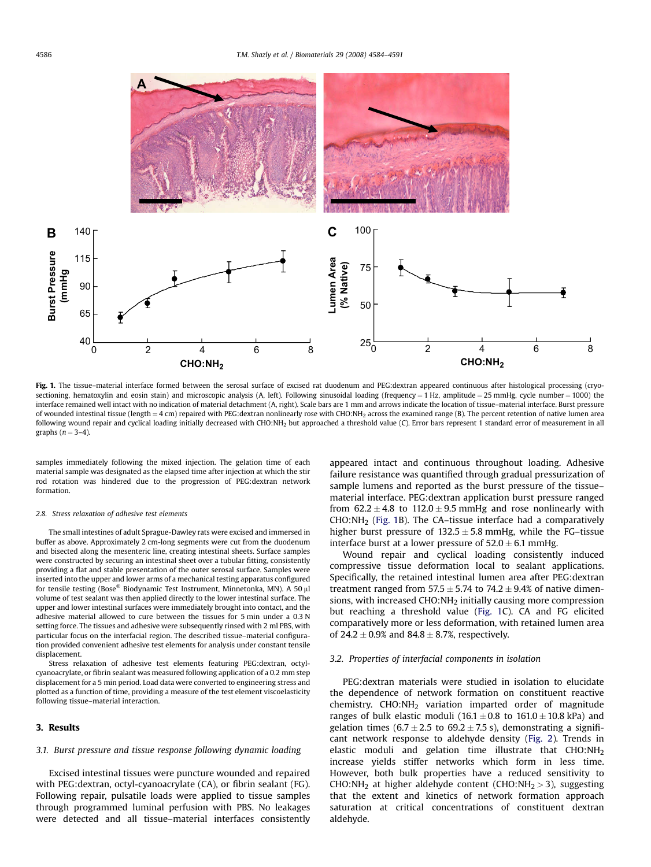<span id="page-2-0"></span>

Fig. 1. The tissue-material interface formed between the serosal surface of excised rat duodenum and PEG:dextran appeared continuous after histological processing (cryosectioning, hematoxylin and eosin stain) and microscopic analysis (A, left). Following sinusoidal loading (frequency = 1 Hz, amplitude = 25 mmHg, cycle number = 1000) the interface remained well intact with no indication of material detachment (A, right). Scale bars are 1 mm and arrows indicate the location of tissue–material interface. Burst pressure of wounded intestinal tissue (length = 4 cm) repaired with PEG:dextran nonlinearly rose with CHO:NH<sub>2</sub> across the examined range (B). The percent retention of native lumen area following wound repair and cyclical loading initially decreased with CHO:NH2 but approached a threshold value (C). Error bars represent 1 standard error of measurement in all graphs ( $n = 3-4$ ).

samples immediately following the mixed injection. The gelation time of each material sample was designated as the elapsed time after injection at which the stir rod rotation was hindered due to the progression of PEG:dextran network formation.

#### 2.8. Stress relaxation of adhesive test elements

The small intestines of adult Sprague-Dawley rats were excised and immersed in buffer as above. Approximately 2 cm-long segments were cut from the duodenum and bisected along the mesenteric line, creating intestinal sheets. Surface samples were constructed by securing an intestinal sheet over a tubular fitting, consistently providing a flat and stable presentation of the outer serosal surface. Samples were inserted into the upper and lower arms of a mechanical testing apparatus configured for tensile testing (Bose® Biodynamic Test Instrument, Minnetonka, MN). A 50  $\mu$ l volume of test sealant was then applied directly to the lower intestinal surface. The upper and lower intestinal surfaces were immediately brought into contact, and the adhesive material allowed to cure between the tissues for 5 min under a 0.3 N setting force. The tissues and adhesive were subsequently rinsed with 2 ml PBS, with particular focus on the interfacial region. The described tissue–material configuration provided convenient adhesive test elements for analysis under constant tensile displacement.

Stress relaxation of adhesive test elements featuring PEG:dextran, octylcyanoacrylate, or fibrin sealant was measured following application of a 0.2 mm step displacement for a 5 min period. Load data were converted to engineering stress and plotted as a function of time, providing a measure of the test element viscoelasticity following tissue–material interaction.

## 3. Results

### 3.1. Burst pressure and tissue response following dynamic loading

Excised intestinal tissues were puncture wounded and repaired with PEG:dextran, octyl-cyanoacrylate (CA), or fibrin sealant (FG). Following repair, pulsatile loads were applied to tissue samples through programmed luminal perfusion with PBS. No leakages were detected and all tissue–material interfaces consistently appeared intact and continuous throughout loading. Adhesive failure resistance was quantified through gradual pressurization of sample lumens and reported as the burst pressure of the tissue– material interface. PEG:dextran application burst pressure ranged from  $62.2 \pm 4.8$  to  $112.0 \pm 9.5$  mmHg and rose nonlinearly with CHO:NH2 (Fig. 1B). The CA–tissue interface had a comparatively higher burst pressure of  $132.5 \pm 5.8$  mmHg, while the FG–tissue interface burst at a lower pressure of  $52.0 \pm 6.1$  mmHg.

Wound repair and cyclical loading consistently induced compressive tissue deformation local to sealant applications. Specifically, the retained intestinal lumen area after PEG:dextran treatment ranged from  $57.5 \pm 5.74$  to  $74.2 \pm 9.4\%$  of native dimensions, with increased CHO:NH2 initially causing more compression but reaching a threshold value (Fig. 1C). CA and FG elicited comparatively more or less deformation, with retained lumen area of 24.2  $\pm$  0.9% and 84.8  $\pm$  8.7%, respectively.

## 3.2. Properties of interfacial components in isolation

PEG:dextran materials were studied in isolation to elucidate the dependence of network formation on constituent reactive chemistry.  $CHO:NH<sub>2</sub>$  variation imparted order of magnitude ranges of bulk elastic moduli (16.1  $\pm$  0.8 to 161.0  $\pm$  10.8 kPa) and gelation times (6.7  $\pm$  2.5 to 69.2  $\pm$  7.5 s), demonstrating a significant network response to aldehyde density ([Fig. 2\)](#page-3-0). Trends in elastic moduli and gelation time illustrate that CHO:NH2 increase yields stiffer networks which form in less time. However, both bulk properties have a reduced sensitivity to CHO:NH<sub>2</sub> at higher aldehyde content (CHO:NH<sub>2</sub> > 3), suggesting that the extent and kinetics of network formation approach saturation at critical concentrations of constituent dextran aldehyde.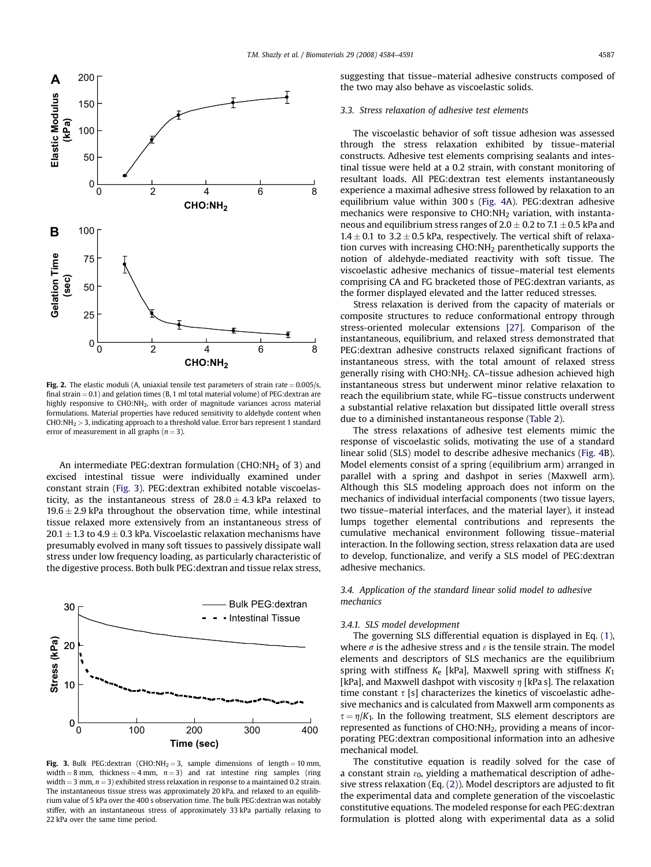<span id="page-3-0"></span>

Fig. 2. The elastic moduli (A, uniaxial tensile test parameters of strain rate  $= 0.005/s$ , final strain  $= 0.1$ ) and gelation times (B, 1 ml total material volume) of PEG:dextran are highly responsive to CHO:NH<sub>2</sub>, with order of magnitude variances across material formulations. Material properties have reduced sensitivity to aldehyde content when  $CHO:NH<sub>2</sub> > 3$ , indicating approach to a threshold value. Error bars represent 1 standard error of measurement in all graphs ( $n = 3$ ).

An intermediate PEG:dextran formulation (CHO:NH $_2$  of 3) and excised intestinal tissue were individually examined under constant strain (Fig. 3). PEG:dextran exhibited notable viscoelasticity, as the instantaneous stress of  $28.0 \pm 4.3$  kPa relaxed to  $19.6 \pm 2.9$  kPa throughout the observation time, while intestinal tissue relaxed more extensively from an instantaneous stress of  $20.1 \pm 1.3$  to  $4.9 \pm 0.3$  kPa. Viscoelastic relaxation mechanisms have presumably evolved in many soft tissues to passively dissipate wall stress under low frequency loading, as particularly characteristic of the digestive process. Both bulk PEG:dextran and tissue relax stress,



Fig. 3. Bulk PEG:dextran (CHO:NH<sub>2</sub> = 3, sample dimensions of length = 10 mm, width = 8 mm, thickness = 4 mm,  $n = 3$ ) and rat intestine ring samples (ring width  $=$  3 mm,  $n = 3$ ) exhibited stress relaxation in response to a maintained 0.2 strain. The instantaneous tissue stress was approximately 20 kPa, and relaxed to an equilibrium value of 5 kPa over the 400 s observation time. The bulk PEG:dextran was notably stiffer, with an instantaneous stress of approximately 33 kPa partially relaxing to 22 kPa over the same time period.

suggesting that tissue–material adhesive constructs composed of the two may also behave as viscoelastic solids.

## 3.3. Stress relaxation of adhesive test elements

The viscoelastic behavior of soft tissue adhesion was assessed through the stress relaxation exhibited by tissue–material constructs. Adhesive test elements comprising sealants and intestinal tissue were held at a 0.2 strain, with constant monitoring of resultant loads. All PEG:dextran test elements instantaneously experience a maximal adhesive stress followed by relaxation to an equilibrium value within 300 s [\(Fig. 4](#page-4-0)A). PEG:dextran adhesive mechanics were responsive to CHO:NH2 variation, with instantaneous and equilibrium stress ranges of  $2.0 \pm 0.2$  to  $7.1 \pm 0.5$  kPa and  $1.4 \pm 0.1$  to  $3.2 \pm 0.5$  kPa, respectively. The vertical shift of relaxation curves with increasing CHO:NH<sub>2</sub> parenthetically supports the notion of aldehyde-mediated reactivity with soft tissue. The viscoelastic adhesive mechanics of tissue–material test elements comprising CA and FG bracketed those of PEG:dextran variants, as the former displayed elevated and the latter reduced stresses.

Stress relaxation is derived from the capacity of materials or composite structures to reduce conformational entropy through stress-oriented molecular extensions [\[27\]](#page-7-0). Comparison of the instantaneous, equilibrium, and relaxed stress demonstrated that PEG:dextran adhesive constructs relaxed significant fractions of instantaneous stress, with the total amount of relaxed stress generally rising with CHO:NH<sub>2</sub>. CA-tissue adhesion achieved high instantaneous stress but underwent minor relative relaxation to reach the equilibrium state, while FG–tissue constructs underwent a substantial relative relaxation but dissipated little overall stress due to a diminished instantaneous response ([Table 2\)](#page-4-0).

The stress relaxations of adhesive test elements mimic the response of viscoelastic solids, motivating the use of a standard linear solid (SLS) model to describe adhesive mechanics [\(Fig. 4B](#page-4-0)). Model elements consist of a spring (equilibrium arm) arranged in parallel with a spring and dashpot in series (Maxwell arm). Although this SLS modeling approach does not inform on the mechanics of individual interfacial components (two tissue layers, two tissue–material interfaces, and the material layer), it instead lumps together elemental contributions and represents the cumulative mechanical environment following tissue–material interaction. In the following section, stress relaxation data are used to develop, functionalize, and verify a SLS model of PEG:dextran adhesive mechanics.

## 3.4. Application of the standard linear solid model to adhesive mechanics

#### 3.4.1. SLS model development

The governing SLS differential equation is displayed in Eq. [\(1\),](#page-4-0) where  $\sigma$  is the adhesive stress and  $\varepsilon$  is the tensile strain. The model elements and descriptors of SLS mechanics are the equilibrium spring with stiffness  $K_e$  [kPa], Maxwell spring with stiffness  $K_1$ [kPa], and Maxwell dashpot with viscosity  $\eta$  [kPa s]. The relaxation time constant  $\tau$  [s] characterizes the kinetics of viscoelastic adhesive mechanics and is calculated from Maxwell arm components as  $\tau = \eta/K_1$ . In the following treatment, SLS element descriptors are represented as functions of CHO:NH<sub>2</sub>, providing a means of incorporating PEG:dextran compositional information into an adhesive mechanical model.

The constitutive equation is readily solved for the case of a constant strain  $\varepsilon_0$ , yielding a mathematical description of adhesive stress relaxation (Eq. [\(2\)](#page-4-0)). Model descriptors are adjusted to fit the experimental data and complete generation of the viscoelastic constitutive equations. The modeled response for each PEG:dextran formulation is plotted along with experimental data as a solid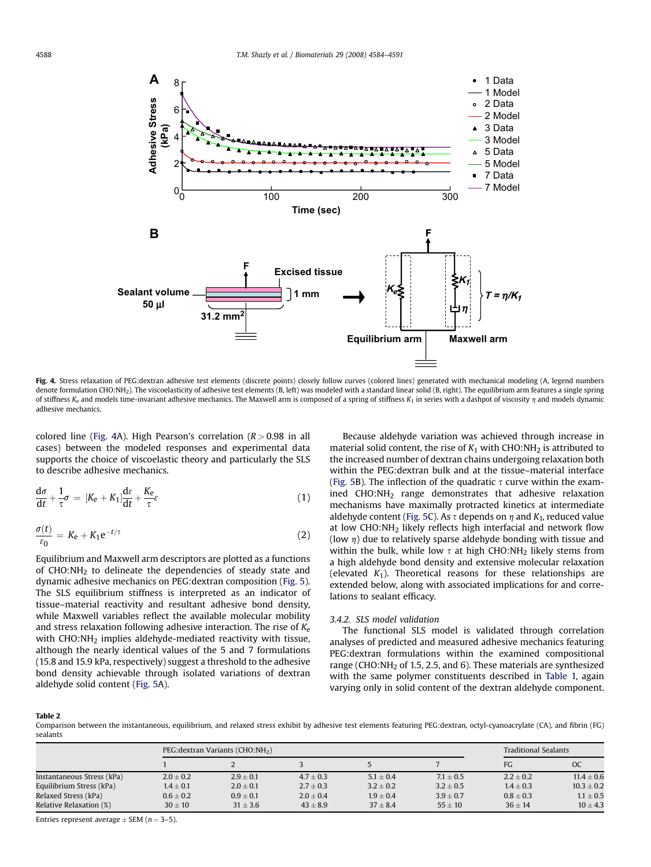<span id="page-4-0"></span>

Fig. 4. Stress relaxation of PEG:dextran adhesive test elements (discrete points) closely follow curves (colored lines) generated with mechanical modeling (A, legend numbers denote formulation CHO:NH<sub>2</sub>). The viscoelasticity of adhesive test elements (B, left) was modeled with a standard linear solid (B, right). The equilibrium arm features a single spring of stiffness  $K_e$  and models time-invariant adhesive mechanics. The Maxwell arm is composed of a spring of stiffness  $K_1$  in series with a dashpot of viscosity  $\eta$  and models dynamic adhesive mechanics.

colored line (Fig. 4A). High Pearson's correlation  $(R > 0.98$  in all cases) between the modeled responses and experimental data supports the choice of viscoelastic theory and particularly the SLS to describe adhesive mechanics.

$$
\frac{d\sigma}{dt} + \frac{1}{\tau}\sigma = [K_{e} + K_{1}]\frac{d\varepsilon}{dt} + \frac{K_{e}}{\tau}\varepsilon
$$
\n(1)

$$
\frac{\sigma(t)}{\varepsilon_0} = K_e + K_1 e^{-t/\tau}
$$
\n(2)

Equilibrium and Maxwell arm descriptors are plotted as a functions of CHO:NH<sub>2</sub> to delineate the dependencies of steady state and dynamic adhesive mechanics on PEG:dextran composition ([Fig. 5\)](#page-5-0). The SLS equilibrium stiffness is interpreted as an indicator of tissue–material reactivity and resultant adhesive bond density, while Maxwell variables reflect the available molecular mobility and stress relaxation following adhesive interaction. The rise of  $K_{\rm e}$ with CHO:NH<sub>2</sub> implies aldehyde-mediated reactivity with tissue, although the nearly identical values of the 5 and 7 formulations (15.8 and 15.9 kPa, respectively) suggest a threshold to the adhesive bond density achievable through isolated variations of dextran aldehyde solid content [\(Fig. 5A](#page-5-0)).

Because aldehyde variation was achieved through increase in material solid content, the rise of  $K_1$  with CHO:NH<sub>2</sub> is attributed to the increased number of dextran chains undergoing relaxation both within the PEG:dextran bulk and at the tissue–material interface ([Fig. 5](#page-5-0)B). The inflection of the quadratic  $\tau$  curve within the examined  $CHO:NH<sub>2</sub>$  range demonstrates that adhesive relaxation mechanisms have maximally protracted kinetics at intermediate aldehyde content ([Fig. 5C](#page-5-0)). As  $\tau$  depends on  $\eta$  and  $K_1$ , reduced value at low CHO:NH2 likely reflects high interfacial and network flow (low  $\eta$ ) due to relatively sparse aldehyde bonding with tissue and within the bulk, while low  $\tau$  at high CHO:NH<sub>2</sub> likely stems from a high aldehyde bond density and extensive molecular relaxation (elevated  $K_1$ ). Theoretical reasons for these relationships are extended below, along with associated implications for and correlations to sealant efficacy.

#### 3.4.2. SLS model validation

The functional SLS model is validated through correlation analyses of predicted and measured adhesive mechanics featuring PEG:dextran formulations within the examined compositional range (CHO:NH2 of 1.5, 2.5, and 6). These materials are synthesized with the same polymer constituents described in [Table 1,](#page-1-0) again varying only in solid content of the dextran aldehyde component.

#### Table 2

Comparison between the instantaneous, equilibrium, and relaxed stress exhibit by adhesive test elements featuring PEG:dextran, octyl-cyanoacrylate (CA), and fibrin (FG) sealants

|                            |               | PEG: dextran Variants (CHO: NH2) |               | <b>Traditional Sealants</b> |               |               |                |
|----------------------------|---------------|----------------------------------|---------------|-----------------------------|---------------|---------------|----------------|
|                            |               |                                  |               |                             |               | FG            | <sub>OC</sub>  |
| Instantaneous Stress (kPa) | $2.0 \pm 0.2$ | $2.9 \pm 0.1$                    | $4.7 \pm 0.3$ | $5.1 \pm 0.4$               | $7.1 \pm 0.5$ | $2.2 \pm 0.2$ | $11.4 \pm 0.6$ |
| Equilibrium Stress (kPa)   | $1.4 \pm 0.1$ | $2.0 \pm 0.1$                    | $2.7 \pm 0.3$ | $3.2 \pm 0.2$               | $3.2 \pm 0.5$ | $1.4 \pm 0.3$ | $10.3 \pm 0.2$ |
| Relaxed Stress (kPa)       | $0.6 \pm 0.2$ | $0.9 \pm 0.1$                    | $2.0 \pm 0.4$ | $1.9 \pm 0.4$               | $3.9 \pm 0.7$ | $0.8 \pm 0.3$ | $1.1 \pm 0.5$  |
| Relative Relaxation (%)    | $30 \pm 10$   | $31 \pm 3.6$                     | $43 \pm 8.9$  | $37 \pm 8.4$                | $55 + 10$     | $36 \pm 14$   | $10 \pm 4.3$   |

Entries represent average  $\pm$  SEM ( $n = 3-5$ ).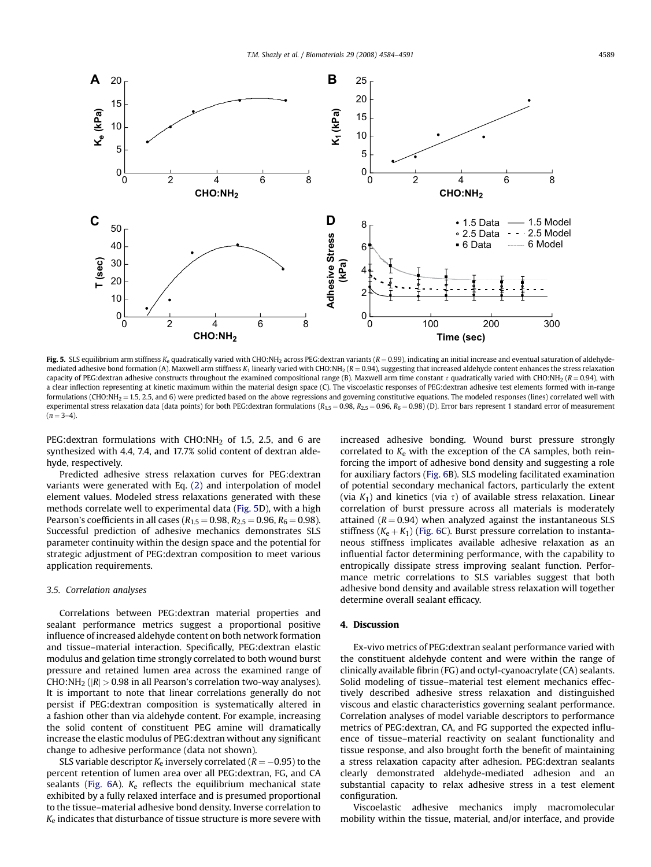<span id="page-5-0"></span>

Fig. 5. SLS equilibrium arm stiffness K<sub>e</sub> quadratically varied with CHO:NH<sub>2</sub> across PEG:dextran variants ( $R = 0.99$ ), indicating an initial increase and eventual saturation of aldehydemediated adhesive bond formation (A). Maxwell arm stiffness  $K_1$  linearly varied with CHO:NH<sub>2</sub> ( $R = 0.94$ ), suggesting that increased aldehyde content enhances the stress relaxation capacity of PEG:dextran adhesive constructs throughout the examined compositional range (B). Maxwell arm time constant  $\tau$  quadratically varied with CHO:NH<sub>2</sub> (R = 0.94), with a clear inflection representing at kinetic maximum within the material design space (C). The viscoelastic responses of PEG:dextran adhesive test elements formed with in-range formulations (CHO:NH<sub>2</sub> = 1.5, 2.5, and 6) were predicted based on the above regressions and governing constitutive equations. The modeled responses (lines) correlated well with experimental stress relaxation data (data points) for both PEG:dextran formulations ( $R_{1.5} = 0.98$ ,  $R_{2.5} = 0.96$ ,  $R_6 = 0.98$ ) (D). Error bars represent 1 standard error of measurement  $(n = 3-4)$ .

PEG:dextran formulations with  $CHO:NH<sub>2</sub>$  of 1.5, 2.5, and 6 are synthesized with 4.4, 7.4, and 17.7% solid content of dextran aldehyde, respectively.

Predicted adhesive stress relaxation curves for PEG:dextran variants were generated with Eq. [\(2\)](#page-4-0) and interpolation of model element values. Modeled stress relaxations generated with these methods correlate well to experimental data (Fig. 5D), with a high Pearson's coefficients in all cases ( $R_{1.5} = 0.98$ ,  $R_{2.5} = 0.96$ ,  $R_6 = 0.98$ ). Successful prediction of adhesive mechanics demonstrates SLS parameter continuity within the design space and the potential for strategic adjustment of PEG:dextran composition to meet various application requirements.

### 3.5. Correlation analyses

Correlations between PEG:dextran material properties and sealant performance metrics suggest a proportional positive influence of increased aldehyde content on both network formation and tissue–material interaction. Specifically, PEG:dextran elastic modulus and gelation time strongly correlated to both wound burst pressure and retained lumen area across the examined range of CHO:NH<sub>2</sub> ( $|R| > 0.98$  in all Pearson's correlation two-way analyses). It is important to note that linear correlations generally do not persist if PEG:dextran composition is systematically altered in a fashion other than via aldehyde content. For example, increasing the solid content of constituent PEG amine will dramatically increase the elastic modulus of PEG:dextran without any significant change to adhesive performance (data not shown).

SLS variable descriptor  $K_e$  inversely correlated ( $R = -0.95$ ) to the percent retention of lumen area over all PEG:dextran, FG, and CA sealants (Fig.  $6A$ ).  $K_e$  reflects the equilibrium mechanical state exhibited by a fully relaxed interface and is presumed proportional to the tissue–material adhesive bond density. Inverse correlation to  $K_{e}$  indicates that disturbance of tissue structure is more severe with increased adhesive bonding. Wound burst pressure strongly correlated to  $K_e$  with the exception of the CA samples, both reinforcing the import of adhesive bond density and suggesting a role for auxiliary factors [\(Fig. 6](#page-6-0)B). SLS modeling facilitated examination of potential secondary mechanical factors, particularly the extent (via  $K_1$ ) and kinetics (via  $\tau$ ) of available stress relaxation. Linear correlation of burst pressure across all materials is moderately attained ( $R = 0.94$ ) when analyzed against the instantaneous SLS stiffness ( $K_e + K_1$ ) ([Fig. 6C](#page-6-0)). Burst pressure correlation to instantaneous stiffness implicates available adhesive relaxation as an influential factor determining performance, with the capability to entropically dissipate stress improving sealant function. Performance metric correlations to SLS variables suggest that both adhesive bond density and available stress relaxation will together determine overall sealant efficacy.

#### 4. Discussion

Ex-vivo metrics of PEG:dextran sealant performance varied with the constituent aldehyde content and were within the range of clinically available fibrin (FG) and octyl-cyanoacrylate (CA) sealants. Solid modeling of tissue–material test element mechanics effectively described adhesive stress relaxation and distinguished viscous and elastic characteristics governing sealant performance. Correlation analyses of model variable descriptors to performance metrics of PEG:dextran, CA, and FG supported the expected influence of tissue–material reactivity on sealant functionality and tissue response, and also brought forth the benefit of maintaining a stress relaxation capacity after adhesion. PEG:dextran sealants clearly demonstrated aldehyde-mediated adhesion and an substantial capacity to relax adhesive stress in a test element configuration.

Viscoelastic adhesive mechanics imply macromolecular mobility within the tissue, material, and/or interface, and provide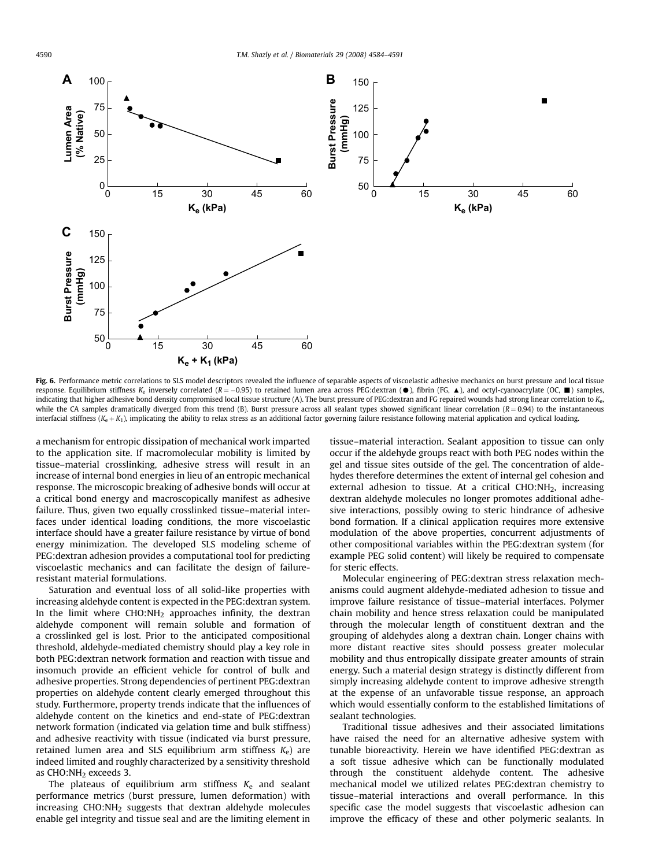<span id="page-6-0"></span>

Fig. 6. Performance metric correlations to SLS model descriptors revealed the influence of separable aspects of viscoelastic adhesive mechanics on burst pressure and local tissue response. Equilibrium stiffness K<sub>e</sub> inversely correlated (R = -0.95) to retained lumen area across PEG:dextran ( $\bullet$ ), fibrin (FG,  $\blacktriangle$ ), and octyl-cyanoacrylate (OC,  $\blacksquare$ ) samples, indicating that higher adhesive bond density compromised local tissue structure (A). The burst pressure of PEG:dextran and FG repaired wounds had strong linear correlation to Ke, while the CA samples dramatically diverged from this trend (B). Burst pressure across all sealant types showed significant linear correlation  $(R = 0.94)$  to the instantaneous interfacial stiffness ( $K_e + K_1$ ), implicating the ability to relax stress as an additional factor governing failure resistance following material application and cyclical loading.

a mechanism for entropic dissipation of mechanical work imparted to the application site. If macromolecular mobility is limited by tissue–material crosslinking, adhesive stress will result in an increase of internal bond energies in lieu of an entropic mechanical response. The microscopic breaking of adhesive bonds will occur at a critical bond energy and macroscopically manifest as adhesive failure. Thus, given two equally crosslinked tissue–material interfaces under identical loading conditions, the more viscoelastic interface should have a greater failure resistance by virtue of bond energy minimization. The developed SLS modeling scheme of PEG:dextran adhesion provides a computational tool for predicting viscoelastic mechanics and can facilitate the design of failureresistant material formulations.

Saturation and eventual loss of all solid-like properties with increasing aldehyde content is expected in the PEG:dextran system. In the limit where  $CHO:NH<sub>2</sub>$  approaches infinity, the dextran aldehyde component will remain soluble and formation of a crosslinked gel is lost. Prior to the anticipated compositional threshold, aldehyde-mediated chemistry should play a key role in both PEG:dextran network formation and reaction with tissue and insomuch provide an efficient vehicle for control of bulk and adhesive properties. Strong dependencies of pertinent PEG:dextran properties on aldehyde content clearly emerged throughout this study. Furthermore, property trends indicate that the influences of aldehyde content on the kinetics and end-state of PEG:dextran network formation (indicated via gelation time and bulk stiffness) and adhesive reactivity with tissue (indicated via burst pressure, retained lumen area and SLS equilibrium arm stiffness  $K_e$ ) are indeed limited and roughly characterized by a sensitivity threshold as CHO:NH<sub>2</sub> exceeds 3.

The plateaus of equilibrium arm stiffness  $K_e$  and sealant performance metrics (burst pressure, lumen deformation) with increasing  $CHO:NH<sub>2</sub>$  suggests that dextran aldehyde molecules enable gel integrity and tissue seal and are the limiting element in tissue–material interaction. Sealant apposition to tissue can only occur if the aldehyde groups react with both PEG nodes within the gel and tissue sites outside of the gel. The concentration of aldehydes therefore determines the extent of internal gel cohesion and external adhesion to tissue. At a critical  $CHO:NH<sub>2</sub>$ , increasing dextran aldehyde molecules no longer promotes additional adhesive interactions, possibly owing to steric hindrance of adhesive bond formation. If a clinical application requires more extensive modulation of the above properties, concurrent adjustments of other compositional variables within the PEG:dextran system (for example PEG solid content) will likely be required to compensate for steric effects.

Molecular engineering of PEG:dextran stress relaxation mechanisms could augment aldehyde-mediated adhesion to tissue and improve failure resistance of tissue–material interfaces. Polymer chain mobility and hence stress relaxation could be manipulated through the molecular length of constituent dextran and the grouping of aldehydes along a dextran chain. Longer chains with more distant reactive sites should possess greater molecular mobility and thus entropically dissipate greater amounts of strain energy. Such a material design strategy is distinctly different from simply increasing aldehyde content to improve adhesive strength at the expense of an unfavorable tissue response, an approach which would essentially conform to the established limitations of sealant technologies.

Traditional tissue adhesives and their associated limitations have raised the need for an alternative adhesive system with tunable bioreactivity. Herein we have identified PEG:dextran as a soft tissue adhesive which can be functionally modulated through the constituent aldehyde content. The adhesive mechanical model we utilized relates PEG:dextran chemistry to tissue–material interactions and overall performance. In this specific case the model suggests that viscoelastic adhesion can improve the efficacy of these and other polymeric sealants. In